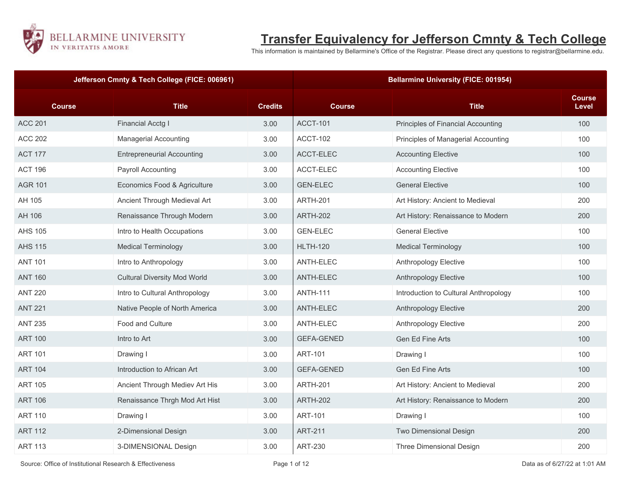

## **Transfer Equivalency for Jefferson Cmnty & Tech College**

This information is maintained by Bellarmine's Office of the Registrar. Please direct any questions to registrar@bellarmine.edu.

|                | Jefferson Cmnty & Tech College (FICE: 006961) |                |                   | <b>Bellarmine University (FICE: 001954)</b> |                        |
|----------------|-----------------------------------------------|----------------|-------------------|---------------------------------------------|------------------------|
| <b>Course</b>  | <b>Title</b>                                  | <b>Credits</b> | <b>Course</b>     | <b>Title</b>                                | <b>Course</b><br>Level |
| <b>ACC 201</b> | <b>Financial Acctg I</b>                      | 3.00           | <b>ACCT-101</b>   | Principles of Financial Accounting          | 100                    |
| <b>ACC 202</b> | <b>Managerial Accounting</b>                  | 3.00           | <b>ACCT-102</b>   | Principles of Managerial Accounting         | 100                    |
| <b>ACT 177</b> | <b>Entrepreneurial Accounting</b>             | 3.00           | ACCT-ELEC         | <b>Accounting Elective</b>                  | 100                    |
| <b>ACT 196</b> | Payroll Accounting                            | 3.00           | ACCT-ELEC         | <b>Accounting Elective</b>                  | 100                    |
| <b>AGR 101</b> | Economics Food & Agriculture                  | 3.00           | <b>GEN-ELEC</b>   | <b>General Elective</b>                     | 100                    |
| AH 105         | Ancient Through Medieval Art                  | 3.00           | <b>ARTH-201</b>   | Art History: Ancient to Medieval            | 200                    |
| AH 106         | Renaissance Through Modern                    | 3.00           | <b>ARTH-202</b>   | Art History: Renaissance to Modern          | 200                    |
| <b>AHS 105</b> | Intro to Health Occupations                   | 3.00           | <b>GEN-ELEC</b>   | <b>General Elective</b>                     | 100                    |
| <b>AHS 115</b> | <b>Medical Terminology</b>                    | 3.00           | <b>HLTH-120</b>   | <b>Medical Terminology</b>                  | 100                    |
| <b>ANT 101</b> | Intro to Anthropology                         | 3.00           | ANTH-ELEC         | Anthropology Elective                       | 100                    |
| <b>ANT 160</b> | <b>Cultural Diversity Mod World</b>           | 3.00           | ANTH-ELEC         | Anthropology Elective                       | 100                    |
| <b>ANT 220</b> | Intro to Cultural Anthropology                | 3.00           | <b>ANTH-111</b>   | Introduction to Cultural Anthropology       | 100                    |
| <b>ANT 221</b> | Native People of North America                | 3.00           | ANTH-ELEC         | Anthropology Elective                       | 200                    |
| <b>ANT 235</b> | Food and Culture                              | 3.00           | ANTH-ELEC         | Anthropology Elective                       | 200                    |
| <b>ART 100</b> | Intro to Art                                  | 3.00           | <b>GEFA-GENED</b> | Gen Ed Fine Arts                            | 100                    |
| <b>ART 101</b> | Drawing I                                     | 3.00           | <b>ART-101</b>    | Drawing I                                   | 100                    |
| <b>ART 104</b> | Introduction to African Art                   | 3.00           | <b>GEFA-GENED</b> | Gen Ed Fine Arts                            | 100                    |
| <b>ART 105</b> | Ancient Through Mediev Art His                | 3.00           | <b>ARTH-201</b>   | Art History: Ancient to Medieval            | 200                    |
| <b>ART 106</b> | Renaissance Thrgh Mod Art Hist                | 3.00           | <b>ARTH-202</b>   | Art History: Renaissance to Modern          | 200                    |
| <b>ART 110</b> | Drawing I                                     | 3.00           | <b>ART-101</b>    | Drawing I                                   | 100                    |
| <b>ART 112</b> | 2-Dimensional Design                          | 3.00           | <b>ART-211</b>    | Two Dimensional Design                      | 200                    |
| <b>ART 113</b> | 3-DIMENSIONAL Design                          | 3.00           | <b>ART-230</b>    | Three Dimensional Design                    | 200                    |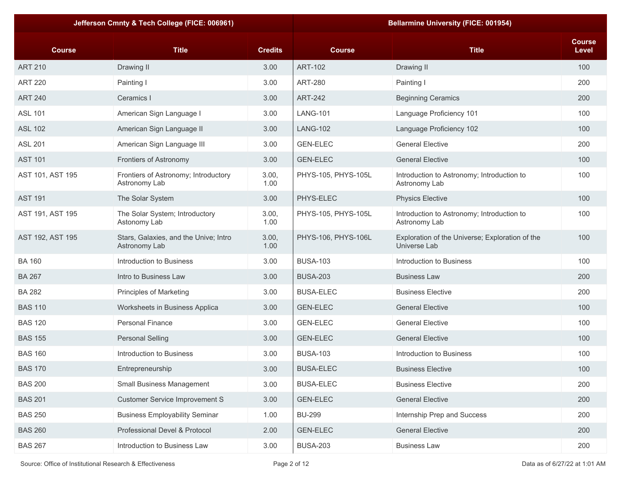|                  | Jefferson Cmnty & Tech College (FICE: 006961)          |                |                     | <b>Bellarmine University (FICE: 001954)</b>                     |                        |
|------------------|--------------------------------------------------------|----------------|---------------------|-----------------------------------------------------------------|------------------------|
| <b>Course</b>    | <b>Title</b>                                           | <b>Credits</b> | <b>Course</b>       | <b>Title</b>                                                    | <b>Course</b><br>Level |
| <b>ART 210</b>   | Drawing II                                             | 3.00           | <b>ART-102</b>      | Drawing II                                                      | 100                    |
| <b>ART 220</b>   | Painting I                                             | 3.00           | <b>ART-280</b>      | Painting I                                                      | 200                    |
| <b>ART 240</b>   | Ceramics I                                             | 3.00           | <b>ART-242</b>      | <b>Beginning Ceramics</b>                                       | 200                    |
| <b>ASL 101</b>   | American Sign Language I                               | 3.00           | <b>LANG-101</b>     | Language Proficiency 101                                        | 100                    |
| <b>ASL 102</b>   | American Sign Language II                              | 3.00           | <b>LANG-102</b>     | Language Proficiency 102                                        | 100                    |
| <b>ASL 201</b>   | American Sign Language III                             | 3.00           | <b>GEN-ELEC</b>     | <b>General Elective</b>                                         | 200                    |
| <b>AST 101</b>   | Frontiers of Astronomy                                 | 3.00           | <b>GEN-ELEC</b>     | <b>General Elective</b>                                         | 100                    |
| AST 101, AST 195 | Frontiers of Astronomy; Introductory<br>Astronomy Lab  | 3.00,<br>1.00  | PHYS-105, PHYS-105L | Introduction to Astronomy; Introduction to<br>Astronomy Lab     | 100                    |
| <b>AST 191</b>   | The Solar System                                       | 3.00           | PHYS-ELEC           | <b>Physics Elective</b>                                         | 100                    |
| AST 191, AST 195 | The Solar System; Introductory<br>Astonomy Lab         | 3.00,<br>1.00  | PHYS-105, PHYS-105L | Introduction to Astronomy; Introduction to<br>Astronomy Lab     | 100                    |
| AST 192, AST 195 | Stars, Galaxies, and the Unive; Intro<br>Astronomy Lab | 3.00,<br>1.00  | PHYS-106, PHYS-106L | Exploration of the Universe; Exploration of the<br>Universe Lab | 100                    |
| <b>BA 160</b>    | Introduction to Business                               | 3.00           | <b>BUSA-103</b>     | Introduction to Business                                        | 100                    |
| <b>BA 267</b>    | Intro to Business Law                                  | 3.00           | <b>BUSA-203</b>     | <b>Business Law</b>                                             | 200                    |
| <b>BA 282</b>    | Principles of Marketing                                | 3.00           | <b>BUSA-ELEC</b>    | <b>Business Elective</b>                                        | 200                    |
| <b>BAS 110</b>   | Worksheets in Business Applica                         | 3.00           | <b>GEN-ELEC</b>     | <b>General Elective</b>                                         | 100                    |
| <b>BAS 120</b>   | <b>Personal Finance</b>                                | 3.00           | <b>GEN-ELEC</b>     | <b>General Elective</b>                                         | 100                    |
| <b>BAS 155</b>   | <b>Personal Selling</b>                                | 3.00           | <b>GEN-ELEC</b>     | <b>General Elective</b>                                         | 100                    |
| <b>BAS 160</b>   | Introduction to Business                               | 3.00           | <b>BUSA-103</b>     | Introduction to Business                                        | 100                    |
| <b>BAS 170</b>   | Entrepreneurship                                       | 3.00           | <b>BUSA-ELEC</b>    | <b>Business Elective</b>                                        | 100                    |
| <b>BAS 200</b>   | Small Business Management                              | 3.00           | <b>BUSA-ELEC</b>    | <b>Business Elective</b>                                        | 200                    |
| <b>BAS 201</b>   | <b>Customer Service Improvement S</b>                  | 3.00           | <b>GEN-ELEC</b>     | <b>General Elective</b>                                         | 200                    |
| <b>BAS 250</b>   | <b>Business Employability Seminar</b>                  | 1.00           | <b>BU-299</b>       | Internship Prep and Success                                     | 200                    |
| <b>BAS 260</b>   | Professional Devel & Protocol                          | 2.00           | <b>GEN-ELEC</b>     | <b>General Elective</b>                                         | 200                    |
| <b>BAS 267</b>   | Introduction to Business Law                           | 3.00           | <b>BUSA-203</b>     | <b>Business Law</b>                                             | 200                    |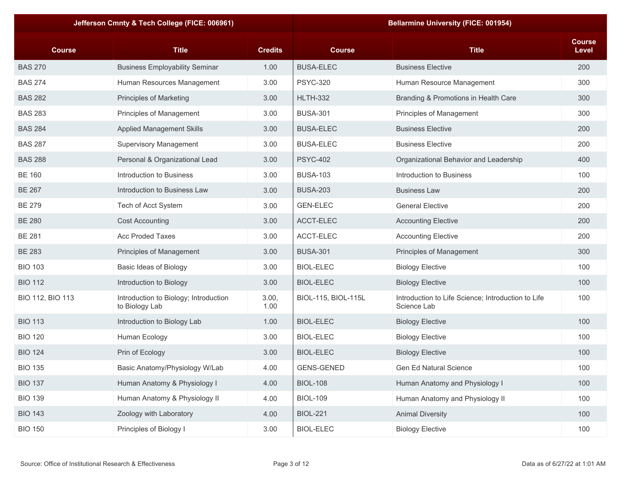|                  | Jefferson Cmnty & Tech College (FICE: 006961)           |                |                     | <b>Bellarmine University (FICE: 001954)</b>                       |                        |
|------------------|---------------------------------------------------------|----------------|---------------------|-------------------------------------------------------------------|------------------------|
| <b>Course</b>    | <b>Title</b>                                            | <b>Credits</b> | <b>Course</b>       | <b>Title</b>                                                      | <b>Course</b><br>Level |
| <b>BAS 270</b>   | <b>Business Employability Seminar</b>                   | 1.00           | <b>BUSA-ELEC</b>    | <b>Business Elective</b>                                          | 200                    |
| <b>BAS 274</b>   | Human Resources Management                              | 3.00           | <b>PSYC-320</b>     | Human Resource Management                                         | 300                    |
| <b>BAS 282</b>   | Principles of Marketing                                 | 3.00           | <b>HLTH-332</b>     | Branding & Promotions in Health Care                              | 300                    |
| <b>BAS 283</b>   | Principles of Management                                | 3.00           | <b>BUSA-301</b>     | Principles of Management                                          | 300                    |
| <b>BAS 284</b>   | <b>Applied Management Skills</b>                        | 3.00           | <b>BUSA-ELEC</b>    | <b>Business Elective</b>                                          | 200                    |
| <b>BAS 287</b>   | <b>Supervisory Management</b>                           | 3.00           | <b>BUSA-ELEC</b>    | <b>Business Elective</b>                                          | 200                    |
| <b>BAS 288</b>   | Personal & Organizational Lead                          | 3.00           | <b>PSYC-402</b>     | Organizational Behavior and Leadership                            | 400                    |
| <b>BE 160</b>    | Introduction to Business                                | 3.00           | <b>BUSA-103</b>     | Introduction to Business                                          | 100                    |
| <b>BE 267</b>    | Introduction to Business Law                            | 3.00           | <b>BUSA-203</b>     | <b>Business Law</b>                                               | 200                    |
| <b>BE 279</b>    | Tech of Acct System                                     | 3.00           | <b>GEN-ELEC</b>     | <b>General Elective</b>                                           | 200                    |
| <b>BE 280</b>    | <b>Cost Accounting</b>                                  | 3.00           | ACCT-ELEC           | <b>Accounting Elective</b>                                        | 200                    |
| <b>BE 281</b>    | <b>Acc Proded Taxes</b>                                 | 3.00           | ACCT-ELEC           | <b>Accounting Elective</b>                                        | 200                    |
| <b>BE 283</b>    | Principles of Management                                | 3.00           | <b>BUSA-301</b>     | Principles of Management                                          | 300                    |
| <b>BIO 103</b>   | Basic Ideas of Biology                                  | 3.00           | <b>BIOL-ELEC</b>    | <b>Biology Elective</b>                                           | 100                    |
| <b>BIO 112</b>   | Introduction to Biology                                 | 3.00           | <b>BIOL-ELEC</b>    | <b>Biology Elective</b>                                           | 100                    |
| BIO 112, BIO 113 | Introduction to Biology; Introduction<br>to Biology Lab | 3.00,<br>1.00  | BIOL-115, BIOL-115L | Introduction to Life Science; Introduction to Life<br>Science Lab | 100                    |
| <b>BIO 113</b>   | Introduction to Biology Lab                             | 1.00           | <b>BIOL-ELEC</b>    | <b>Biology Elective</b>                                           | 100                    |
| <b>BIO 120</b>   | Human Ecology                                           | 3.00           | <b>BIOL-ELEC</b>    | <b>Biology Elective</b>                                           | 100                    |
| <b>BIO 124</b>   | Prin of Ecology                                         | 3.00           | <b>BIOL-ELEC</b>    | <b>Biology Elective</b>                                           | 100                    |
| <b>BIO 135</b>   | Basic Anatomy/Physiology W/Lab                          | 4.00           | <b>GENS-GENED</b>   | Gen Ed Natural Science                                            | 100                    |
| <b>BIO 137</b>   | Human Anatomy & Physiology I                            | 4.00           | <b>BIOL-108</b>     | Human Anatomy and Physiology I                                    | 100                    |
| <b>BIO 139</b>   | Human Anatomy & Physiology II                           | 4.00           | <b>BIOL-109</b>     | Human Anatomy and Physiology II                                   | 100                    |
| <b>BIO 143</b>   | Zoology with Laboratory                                 | 4.00           | <b>BIOL-221</b>     | <b>Animal Diversity</b>                                           | 100                    |
| <b>BIO 150</b>   | Principles of Biology I                                 | 3.00           | <b>BIOL-ELEC</b>    | <b>Biology Elective</b>                                           | 100                    |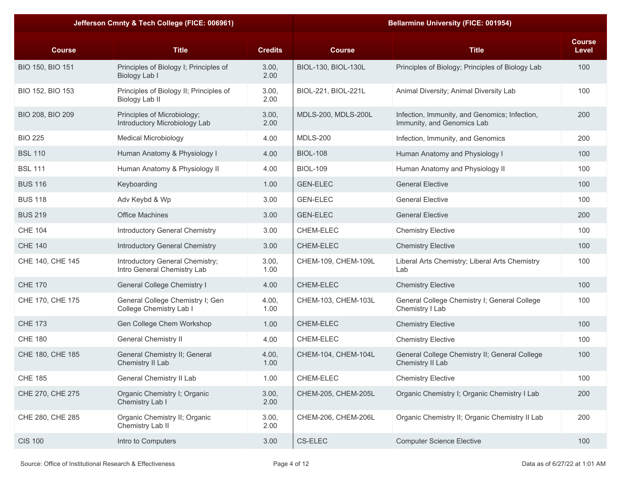|                  | Jefferson Cmnty & Tech College (FICE: 006961)                    |                |                     | <b>Bellarmine University (FICE: 001954)</b>                                 |                        |
|------------------|------------------------------------------------------------------|----------------|---------------------|-----------------------------------------------------------------------------|------------------------|
| <b>Course</b>    | <b>Title</b>                                                     | <b>Credits</b> | <b>Course</b>       | <b>Title</b>                                                                | <b>Course</b><br>Level |
| BIO 150, BIO 151 | Principles of Biology I; Principles of<br>Biology Lab I          | 3.00,<br>2.00  | BIOL-130, BIOL-130L | Principles of Biology; Principles of Biology Lab                            | 100                    |
| BIO 152, BIO 153 | Principles of Biology II; Principles of<br><b>Biology Lab II</b> | 3.00,<br>2.00  | BIOL-221, BIOL-221L | Animal Diversity; Animal Diversity Lab                                      | 100                    |
| BIO 208, BIO 209 | Principles of Microbiology;<br>Introductory Microbiology Lab     | 3.00,<br>2.00  | MDLS-200, MDLS-200L | Infection, Immunity, and Genomics; Infection,<br>Immunity, and Genomics Lab | 200                    |
| <b>BIO 225</b>   | <b>Medical Microbiology</b>                                      | 4.00           | <b>MDLS-200</b>     | Infection, Immunity, and Genomics                                           | 200                    |
| <b>BSL 110</b>   | Human Anatomy & Physiology I                                     | 4.00           | <b>BIOL-108</b>     | Human Anatomy and Physiology I                                              | 100                    |
| <b>BSL 111</b>   | Human Anatomy & Physiology II                                    | 4.00           | <b>BIOL-109</b>     | Human Anatomy and Physiology II                                             | 100                    |
| <b>BUS 116</b>   | Keyboarding                                                      | 1.00           | <b>GEN-ELEC</b>     | <b>General Elective</b>                                                     | 100                    |
| <b>BUS 118</b>   | Adv Keybd & Wp                                                   | 3.00           | <b>GEN-ELEC</b>     | <b>General Elective</b>                                                     | 100                    |
| <b>BUS 219</b>   | <b>Office Machines</b>                                           | 3.00           | <b>GEN-ELEC</b>     | <b>General Elective</b>                                                     | 200                    |
| <b>CHE 104</b>   | Introductory General Chemistry                                   | 3.00           | CHEM-ELEC           | <b>Chemistry Elective</b>                                                   | 100                    |
| <b>CHE 140</b>   | Introductory General Chemistry                                   | 3.00           | CHEM-ELEC           | <b>Chemistry Elective</b>                                                   | 100                    |
| CHE 140, CHE 145 | Introductory General Chemistry;<br>Intro General Chemistry Lab   | 3.00,<br>1.00  | CHEM-109, CHEM-109L | Liberal Arts Chemistry; Liberal Arts Chemistry<br>Lab                       | 100                    |
| <b>CHE 170</b>   | General College Chemistry I                                      | 4.00           | <b>CHEM-ELEC</b>    | <b>Chemistry Elective</b>                                                   | 100                    |
| CHE 170, CHE 175 | General College Chemistry I; Gen<br>College Chemistry Lab I      | 4.00,<br>1.00  | CHEM-103, CHEM-103L | General College Chemistry I; General College<br>Chemistry I Lab             | 100                    |
| <b>CHE 173</b>   | Gen College Chem Workshop                                        | 1.00           | <b>CHEM-ELEC</b>    | <b>Chemistry Elective</b>                                                   | 100                    |
| <b>CHE 180</b>   | <b>General Chemistry II</b>                                      | 4.00           | CHEM-ELEC           | <b>Chemistry Elective</b>                                                   | 100                    |
| CHE 180, CHE 185 | General Chemistry II; General<br>Chemistry II Lab                | 4.00,<br>1.00  | CHEM-104, CHEM-104L | General College Chemistry II; General College<br>Chemistry II Lab           | 100                    |
| <b>CHE 185</b>   | General Chemistry II Lab                                         | 1.00           | CHEM-ELEC           | <b>Chemistry Elective</b>                                                   | 100                    |
| CHE 270, CHE 275 | Organic Chemistry I; Organic<br>Chemistry Lab I                  | 3.00,<br>2.00  | CHEM-205, CHEM-205L | Organic Chemistry I; Organic Chemistry I Lab                                | 200                    |
| CHE 280, CHE 285 | Organic Chemistry II; Organic<br>Chemistry Lab II                | 3.00,<br>2.00  | CHEM-206, CHEM-206L | Organic Chemistry II; Organic Chemistry II Lab                              | 200                    |
| <b>CIS 100</b>   | Intro to Computers                                               | 3.00           | CS-ELEC             | <b>Computer Science Elective</b>                                            | 100                    |
|                  |                                                                  |                |                     |                                                                             |                        |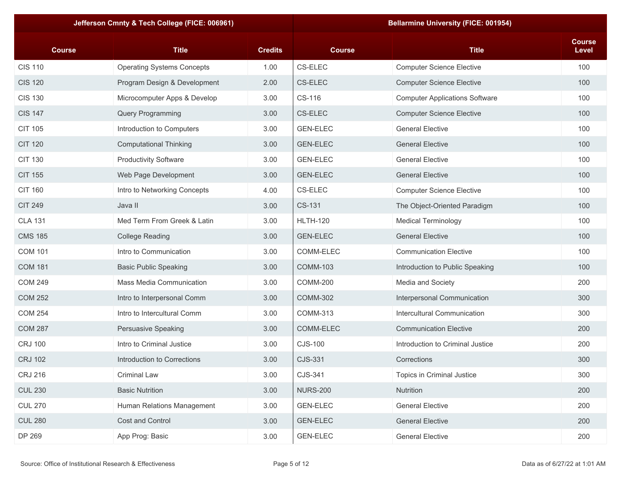|                | Jefferson Cmnty & Tech College (FICE: 006961) |                |                 | <b>Bellarmine University (FICE: 001954)</b> |                        |
|----------------|-----------------------------------------------|----------------|-----------------|---------------------------------------------|------------------------|
| <b>Course</b>  | <b>Title</b>                                  | <b>Credits</b> | <b>Course</b>   | <b>Title</b>                                | <b>Course</b><br>Level |
| <b>CIS 110</b> | <b>Operating Systems Concepts</b>             | 1.00           | CS-ELEC         | <b>Computer Science Elective</b>            | 100                    |
| <b>CIS 120</b> | Program Design & Development                  | 2.00           | CS-ELEC         | <b>Computer Science Elective</b>            | 100                    |
| <b>CIS 130</b> | Microcomputer Apps & Develop                  | 3.00           | CS-116          | <b>Computer Applications Software</b>       | 100                    |
| <b>CIS 147</b> | Query Programming                             | 3.00           | CS-ELEC         | <b>Computer Science Elective</b>            | 100                    |
| <b>CIT 105</b> | Introduction to Computers                     | 3.00           | <b>GEN-ELEC</b> | <b>General Elective</b>                     | 100                    |
| <b>CIT 120</b> | <b>Computational Thinking</b>                 | 3.00           | <b>GEN-ELEC</b> | <b>General Elective</b>                     | 100                    |
| <b>CIT 130</b> | <b>Productivity Software</b>                  | 3.00           | <b>GEN-ELEC</b> | <b>General Elective</b>                     | 100                    |
| <b>CIT 155</b> | Web Page Development                          | 3.00           | <b>GEN-ELEC</b> | <b>General Elective</b>                     | 100                    |
| <b>CIT 160</b> | Intro to Networking Concepts                  | 4.00           | CS-ELEC         | <b>Computer Science Elective</b>            | 100                    |
| <b>CIT 249</b> | Java II                                       | 3.00           | CS-131          | The Object-Oriented Paradigm                | 100                    |
| <b>CLA 131</b> | Med Term From Greek & Latin                   | 3.00           | <b>HLTH-120</b> | <b>Medical Terminology</b>                  | 100                    |
| <b>CMS 185</b> | <b>College Reading</b>                        | 3.00           | <b>GEN-ELEC</b> | <b>General Elective</b>                     | 100                    |
| <b>COM 101</b> | Intro to Communication                        | 3.00           | COMM-ELEC       | <b>Communication Elective</b>               | 100                    |
| <b>COM 181</b> | <b>Basic Public Speaking</b>                  | 3.00           | <b>COMM-103</b> | Introduction to Public Speaking             | 100                    |
| <b>COM 249</b> | <b>Mass Media Communication</b>               | 3.00           | <b>COMM-200</b> | Media and Society                           | 200                    |
| <b>COM 252</b> | Intro to Interpersonal Comm                   | 3.00           | <b>COMM-302</b> | Interpersonal Communication                 | 300                    |
| <b>COM 254</b> | Intro to Intercultural Comm                   | 3.00           | COMM-313        | Intercultural Communication                 | 300                    |
| <b>COM 287</b> | Persuasive Speaking                           | 3.00           | COMM-ELEC       | <b>Communication Elective</b>               | 200                    |
| <b>CRJ 100</b> | Intro to Criminal Justice                     | 3.00           | CJS-100         | Introduction to Criminal Justice            | 200                    |
| <b>CRJ 102</b> | Introduction to Corrections                   | 3.00           | CJS-331         | Corrections                                 | 300                    |
| <b>CRJ 216</b> | Criminal Law                                  | 3.00           | CJS-341         | Topics in Criminal Justice                  | 300                    |
| <b>CUL 230</b> | <b>Basic Nutrition</b>                        | 3.00           | <b>NURS-200</b> | Nutrition                                   | 200                    |
| <b>CUL 270</b> | Human Relations Management                    | 3.00           | <b>GEN-ELEC</b> | <b>General Elective</b>                     | 200                    |
| <b>CUL 280</b> | Cost and Control                              | 3.00           | <b>GEN-ELEC</b> | <b>General Elective</b>                     | 200                    |
| DP 269         | App Prog: Basic                               | 3.00           | <b>GEN-ELEC</b> | <b>General Elective</b>                     | 200                    |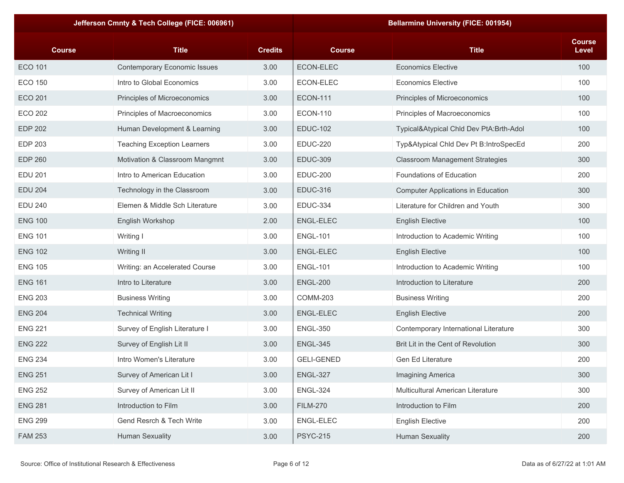|                | Jefferson Cmnty & Tech College (FICE: 006961) |                |                   | <b>Bellarmine University (FICE: 001954)</b> |                        |
|----------------|-----------------------------------------------|----------------|-------------------|---------------------------------------------|------------------------|
| <b>Course</b>  | <b>Title</b>                                  | <b>Credits</b> | <b>Course</b>     | <b>Title</b>                                | <b>Course</b><br>Level |
| <b>ECO 101</b> | <b>Contemporary Economic Issues</b>           | 3.00           | ECON-ELEC         | <b>Economics Elective</b>                   | 100                    |
| <b>ECO 150</b> | Intro to Global Economics                     | 3.00           | ECON-ELEC         | <b>Economics Elective</b>                   | 100                    |
| <b>ECO 201</b> | Principles of Microeconomics                  | 3.00           | <b>ECON-111</b>   | Principles of Microeconomics                | 100                    |
| <b>ECO 202</b> | Principles of Macroeconomics                  | 3.00           | <b>ECON-110</b>   | Principles of Macroeconomics                | 100                    |
| <b>EDP 202</b> | Human Development & Learning                  | 3.00           | <b>EDUC-102</b>   | Typical&Atypical Chld Dev PtA:Brth-Adol     | 100                    |
| <b>EDP 203</b> | <b>Teaching Exception Learners</b>            | 3.00           | <b>EDUC-220</b>   | Typ&Atypical Chld Dev Pt B:IntroSpecEd      | 200                    |
| <b>EDP 260</b> | Motivation & Classroom Mangmnt                | 3.00           | <b>EDUC-309</b>   | <b>Classroom Management Strategies</b>      | 300                    |
| <b>EDU 201</b> | Intro to American Education                   | 3.00           | <b>EDUC-200</b>   | Foundations of Education                    | 200                    |
| <b>EDU 204</b> | Technology in the Classroom                   | 3.00           | <b>EDUC-316</b>   | <b>Computer Applications in Education</b>   | 300                    |
| <b>EDU 240</b> | Elemen & Middle Sch Literature                | 3.00           | <b>EDUC-334</b>   | Literature for Children and Youth           | 300                    |
| <b>ENG 100</b> | English Workshop                              | 2.00           | ENGL-ELEC         | <b>English Elective</b>                     | 100                    |
| <b>ENG 101</b> | Writing I                                     | 3.00           | <b>ENGL-101</b>   | Introduction to Academic Writing            | 100                    |
| <b>ENG 102</b> | Writing II                                    | 3.00           | <b>ENGL-ELEC</b>  | <b>English Elective</b>                     | 100                    |
| <b>ENG 105</b> | Writing: an Accelerated Course                | 3.00           | <b>ENGL-101</b>   | Introduction to Academic Writing            | 100                    |
| <b>ENG 161</b> | Intro to Literature                           | 3.00           | <b>ENGL-200</b>   | Introduction to Literature                  | 200                    |
| <b>ENG 203</b> | <b>Business Writing</b>                       | 3.00           | <b>COMM-203</b>   | <b>Business Writing</b>                     | 200                    |
| <b>ENG 204</b> | <b>Technical Writing</b>                      | 3.00           | <b>ENGL-ELEC</b>  | <b>English Elective</b>                     | 200                    |
| <b>ENG 221</b> | Survey of English Literature I                | 3.00           | <b>ENGL-350</b>   | Contemporary International Literature       | 300                    |
| <b>ENG 222</b> | Survey of English Lit II                      | 3.00           | <b>ENGL-345</b>   | Brit Lit in the Cent of Revolution          | 300                    |
| <b>ENG 234</b> | Intro Women's Literature                      | 3.00           | <b>GELI-GENED</b> | Gen Ed Literature                           | 200                    |
| <b>ENG 251</b> | Survey of American Lit I                      | 3.00           | <b>ENGL-327</b>   | Imagining America                           | 300                    |
| <b>ENG 252</b> | Survey of American Lit II                     | 3.00           | <b>ENGL-324</b>   | Multicultural American Literature           | 300                    |
| <b>ENG 281</b> | Introduction to Film                          | 3.00           | <b>FILM-270</b>   | Introduction to Film                        | 200                    |
| <b>ENG 299</b> | Gend Resrch & Tech Write                      | 3.00           | ENGL-ELEC         | <b>English Elective</b>                     | 200                    |
| <b>FAM 253</b> | <b>Human Sexuality</b>                        | 3.00           | <b>PSYC-215</b>   | <b>Human Sexuality</b>                      | 200                    |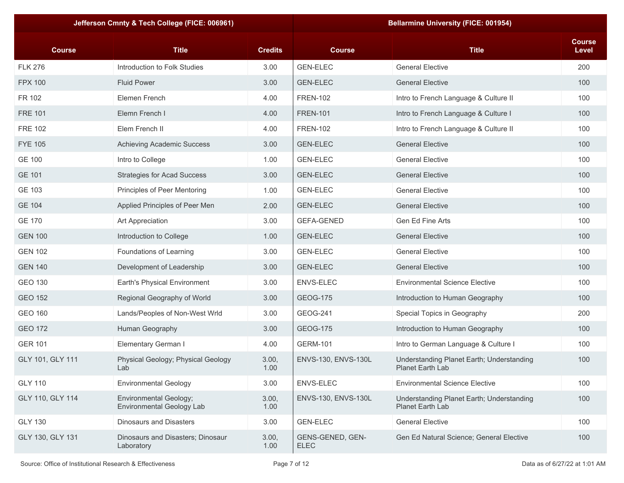|                  | Jefferson Cmnty & Tech College (FICE: 006961)              |                |                                 | <b>Bellarmine University (FICE: 001954)</b>                   |                        |
|------------------|------------------------------------------------------------|----------------|---------------------------------|---------------------------------------------------------------|------------------------|
| <b>Course</b>    | <b>Title</b>                                               | <b>Credits</b> | <b>Course</b>                   | <b>Title</b>                                                  | <b>Course</b><br>Level |
| <b>FLK 276</b>   | Introduction to Folk Studies                               | 3.00           | <b>GEN-ELEC</b>                 | <b>General Elective</b>                                       | 200                    |
| <b>FPX 100</b>   | <b>Fluid Power</b>                                         | 3.00           | <b>GEN-ELEC</b>                 | <b>General Elective</b>                                       | 100                    |
| FR 102           | Elemen French                                              | 4.00           | <b>FREN-102</b>                 | Intro to French Language & Culture II                         | 100                    |
| <b>FRE 101</b>   | Elemn French I                                             | 4.00           | <b>FREN-101</b>                 | Intro to French Language & Culture I                          | 100                    |
| <b>FRE 102</b>   | Elem French II                                             | 4.00           | <b>FREN-102</b>                 | Intro to French Language & Culture II                         | 100                    |
| <b>FYE 105</b>   | Achieving Academic Success                                 | 3.00           | <b>GEN-ELEC</b>                 | <b>General Elective</b>                                       | 100                    |
| <b>GE 100</b>    | Intro to College                                           | 1.00           | <b>GEN-ELEC</b>                 | <b>General Elective</b>                                       | 100                    |
| <b>GE 101</b>    | <b>Strategies for Acad Success</b>                         | 3.00           | <b>GEN-ELEC</b>                 | <b>General Elective</b>                                       | 100                    |
| GE 103           | Principles of Peer Mentoring                               | 1.00           | <b>GEN-ELEC</b>                 | <b>General Elective</b>                                       | 100                    |
| <b>GE 104</b>    | Applied Principles of Peer Men                             | 2.00           | <b>GEN-ELEC</b>                 | <b>General Elective</b>                                       | 100                    |
| <b>GE 170</b>    | Art Appreciation                                           | 3.00           | <b>GEFA-GENED</b>               | Gen Ed Fine Arts                                              | 100                    |
| <b>GEN 100</b>   | Introduction to College                                    | 1.00           | <b>GEN-ELEC</b>                 | <b>General Elective</b>                                       | 100                    |
| <b>GEN 102</b>   | Foundations of Learning                                    | 3.00           | <b>GEN-ELEC</b>                 | <b>General Elective</b>                                       | 100                    |
| <b>GEN 140</b>   | Development of Leadership                                  | 3.00           | <b>GEN-ELEC</b>                 | <b>General Elective</b>                                       | 100                    |
| <b>GEO 130</b>   | Earth's Physical Environment                               | 3.00           | <b>ENVS-ELEC</b>                | <b>Environmental Science Elective</b>                         | 100                    |
| <b>GEO 152</b>   | Regional Geography of World                                | 3.00           | <b>GEOG-175</b>                 | Introduction to Human Geography                               | 100                    |
| <b>GEO 160</b>   | Lands/Peoples of Non-West Wrld                             | 3.00           | GEOG-241                        | Special Topics in Geography                                   | 200                    |
| <b>GEO 172</b>   | Human Geography                                            | 3.00           | <b>GEOG-175</b>                 | Introduction to Human Geography                               | 100                    |
| <b>GER 101</b>   | Elementary German I                                        | 4.00           | <b>GERM-101</b>                 | Intro to German Language & Culture I                          | 100                    |
| GLY 101, GLY 111 | Physical Geology; Physical Geology<br>Lab                  | 3.00,<br>1.00  | ENVS-130, ENVS-130L             | Understanding Planet Earth; Understanding<br>Planet Earth Lab | 100                    |
| <b>GLY 110</b>   | <b>Environmental Geology</b>                               | 3.00           | ENVS-ELEC                       | <b>Environmental Science Elective</b>                         | 100                    |
| GLY 110, GLY 114 | Environmental Geology;<br><b>Environmental Geology Lab</b> | 3.00,<br>1.00  | ENVS-130, ENVS-130L             | Understanding Planet Earth; Understanding<br>Planet Earth Lab | 100                    |
| <b>GLY 130</b>   | <b>Dinosaurs and Disasters</b>                             | 3.00           | <b>GEN-ELEC</b>                 | <b>General Elective</b>                                       | 100                    |
| GLY 130, GLY 131 | Dinosaurs and Disasters; Dinosaur<br>Laboratory            | 3.00,<br>1.00  | GENS-GENED, GEN-<br><b>ELEC</b> | Gen Ed Natural Science; General Elective                      | 100                    |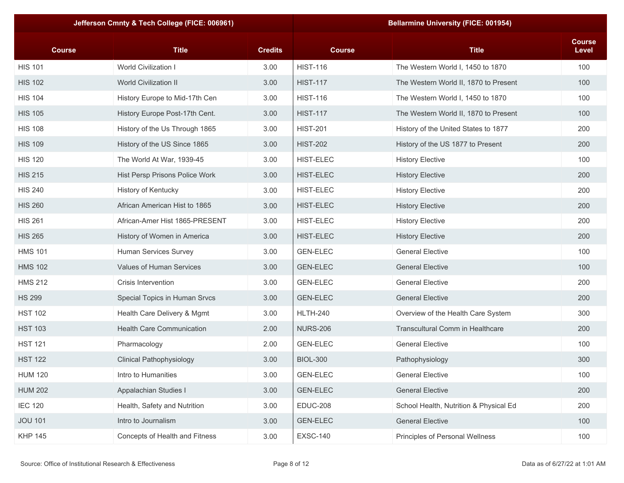| Jefferson Cmnty & Tech College (FICE: 006961) |                                  | <b>Bellarmine University (FICE: 001954)</b> |                  |                                        |                        |
|-----------------------------------------------|----------------------------------|---------------------------------------------|------------------|----------------------------------------|------------------------|
| <b>Course</b>                                 | <b>Title</b>                     | <b>Credits</b>                              | <b>Course</b>    | <b>Title</b>                           | <b>Course</b><br>Level |
| <b>HIS 101</b>                                | World Civilization I             | 3.00                                        | <b>HIST-116</b>  | The Western World I, 1450 to 1870      | 100                    |
| <b>HIS 102</b>                                | <b>World Civilization II</b>     | 3.00                                        | <b>HIST-117</b>  | The Western World II, 1870 to Present  | 100                    |
| <b>HIS 104</b>                                | History Europe to Mid-17th Cen   | 3.00                                        | <b>HIST-116</b>  | The Western World I, 1450 to 1870      | 100                    |
| <b>HIS 105</b>                                | History Europe Post-17th Cent.   | 3.00                                        | <b>HIST-117</b>  | The Western World II, 1870 to Present  | 100                    |
| <b>HIS 108</b>                                | History of the Us Through 1865   | 3.00                                        | <b>HIST-201</b>  | History of the United States to 1877   | 200                    |
| <b>HIS 109</b>                                | History of the US Since 1865     | 3.00                                        | <b>HIST-202</b>  | History of the US 1877 to Present      | 200                    |
| <b>HIS 120</b>                                | The World At War, 1939-45        | 3.00                                        | <b>HIST-ELEC</b> | <b>History Elective</b>                | 100                    |
| <b>HIS 215</b>                                | Hist Persp Prisons Police Work   | 3.00                                        | <b>HIST-ELEC</b> | <b>History Elective</b>                | 200                    |
| <b>HIS 240</b>                                | History of Kentucky              | 3.00                                        | <b>HIST-ELEC</b> | <b>History Elective</b>                | 200                    |
| <b>HIS 260</b>                                | African American Hist to 1865    | 3.00                                        | <b>HIST-ELEC</b> | <b>History Elective</b>                | 200                    |
| <b>HIS 261</b>                                | African-Amer Hist 1865-PRESENT   | 3.00                                        | <b>HIST-ELEC</b> | <b>History Elective</b>                | 200                    |
| <b>HIS 265</b>                                | History of Women in America      | 3.00                                        | <b>HIST-ELEC</b> | <b>History Elective</b>                | 200                    |
| <b>HMS 101</b>                                | Human Services Survey            | 3.00                                        | <b>GEN-ELEC</b>  | <b>General Elective</b>                | 100                    |
| <b>HMS 102</b>                                | Values of Human Services         | 3.00                                        | <b>GEN-ELEC</b>  | <b>General Elective</b>                | 100                    |
| <b>HMS 212</b>                                | Crisis Intervention              | 3.00                                        | <b>GEN-ELEC</b>  | <b>General Elective</b>                | 200                    |
| <b>HS 299</b>                                 | Special Topics in Human Srvcs    | 3.00                                        | <b>GEN-ELEC</b>  | <b>General Elective</b>                | 200                    |
| <b>HST 102</b>                                | Health Care Delivery & Mgmt      | 3.00                                        | <b>HLTH-240</b>  | Overview of the Health Care System     | 300                    |
| <b>HST 103</b>                                | <b>Health Care Communication</b> | 2.00                                        | <b>NURS-206</b>  | Transcultural Comm in Healthcare       | 200                    |
| <b>HST 121</b>                                | Pharmacology                     | 2.00                                        | <b>GEN-ELEC</b>  | <b>General Elective</b>                | 100                    |
| <b>HST 122</b>                                | <b>Clinical Pathophysiology</b>  | 3.00                                        | <b>BIOL-300</b>  | Pathophysiology                        | 300                    |
| <b>HUM 120</b>                                | Intro to Humanities              | 3.00                                        | <b>GEN-ELEC</b>  | <b>General Elective</b>                | 100                    |
| <b>HUM 202</b>                                | Appalachian Studies I            | 3.00                                        | <b>GEN-ELEC</b>  | <b>General Elective</b>                | 200                    |
| <b>IEC 120</b>                                | Health, Safety and Nutrition     | 3.00                                        | <b>EDUC-208</b>  | School Health, Nutrition & Physical Ed | 200                    |
| <b>JOU 101</b>                                | Intro to Journalism              | 3.00                                        | <b>GEN-ELEC</b>  | <b>General Elective</b>                | 100                    |
| <b>KHP 145</b>                                | Concepts of Health and Fitness   | 3.00                                        | <b>EXSC-140</b>  | Principles of Personal Wellness        | 100                    |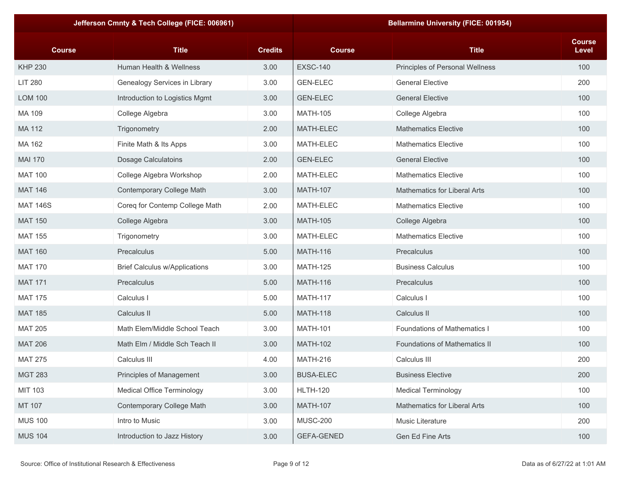|                 | Jefferson Cmnty & Tech College (FICE: 006961) |                |                   | <b>Bellarmine University (FICE: 001954)</b> |                        |
|-----------------|-----------------------------------------------|----------------|-------------------|---------------------------------------------|------------------------|
| <b>Course</b>   | <b>Title</b>                                  | <b>Credits</b> | <b>Course</b>     | <b>Title</b>                                | <b>Course</b><br>Level |
| <b>KHP 230</b>  | Human Health & Wellness                       | 3.00           | <b>EXSC-140</b>   | Principles of Personal Wellness             | 100                    |
| <b>LIT 280</b>  | Genealogy Services in Library                 | 3.00           | <b>GEN-ELEC</b>   | <b>General Elective</b>                     | 200                    |
| <b>LOM 100</b>  | Introduction to Logistics Mgmt                | 3.00           | <b>GEN-ELEC</b>   | <b>General Elective</b>                     | 100                    |
| MA 109          | College Algebra                               | 3.00           | <b>MATH-105</b>   | College Algebra                             | 100                    |
| MA 112          | Trigonometry                                  | 2.00           | MATH-ELEC         | <b>Mathematics Elective</b>                 | 100                    |
| MA 162          | Finite Math & Its Apps                        | 3.00           | MATH-ELEC         | <b>Mathematics Elective</b>                 | 100                    |
| <b>MAI 170</b>  | <b>Dosage Calculatoins</b>                    | 2.00           | <b>GEN-ELEC</b>   | <b>General Elective</b>                     | 100                    |
| <b>MAT 100</b>  | College Algebra Workshop                      | 2.00           | MATH-ELEC         | <b>Mathematics Elective</b>                 | 100                    |
| <b>MAT 146</b>  | Contemporary College Math                     | 3.00           | <b>MATH-107</b>   | <b>Mathematics for Liberal Arts</b>         | 100                    |
| <b>MAT 146S</b> | Coreq for Contemp College Math                | 2.00           | MATH-ELEC         | <b>Mathematics Elective</b>                 | 100                    |
| <b>MAT 150</b>  | College Algebra                               | 3.00           | <b>MATH-105</b>   | College Algebra                             | 100                    |
| <b>MAT 155</b>  | Trigonometry                                  | 3.00           | MATH-ELEC         | <b>Mathematics Elective</b>                 | 100                    |
| <b>MAT 160</b>  | Precalculus                                   | 5.00           | <b>MATH-116</b>   | Precalculus                                 | 100                    |
| <b>MAT 170</b>  | <b>Brief Calculus w/Applications</b>          | 3.00           | <b>MATH-125</b>   | <b>Business Calculus</b>                    | 100                    |
| <b>MAT 171</b>  | Precalculus                                   | 5.00           | <b>MATH-116</b>   | Precalculus                                 | 100                    |
| <b>MAT 175</b>  | Calculus I                                    | 5.00           | <b>MATH-117</b>   | Calculus I                                  | 100                    |
| <b>MAT 185</b>  | Calculus II                                   | 5.00           | <b>MATH-118</b>   | Calculus II                                 | 100                    |
| <b>MAT 205</b>  | Math Elem/Middle School Teach                 | 3.00           | <b>MATH-101</b>   | <b>Foundations of Mathematics I</b>         | 100                    |
| <b>MAT 206</b>  | Math Elm / Middle Sch Teach II                | 3.00           | <b>MATH-102</b>   | <b>Foundations of Mathematics II</b>        | 100                    |
| <b>MAT 275</b>  | Calculus III                                  | 4.00           | <b>MATH-216</b>   | Calculus III                                | 200                    |
| <b>MGT 283</b>  | Principles of Management                      | 3.00           | <b>BUSA-ELEC</b>  | <b>Business Elective</b>                    | 200                    |
| <b>MIT 103</b>  | <b>Medical Office Terminology</b>             | 3.00           | <b>HLTH-120</b>   | <b>Medical Terminology</b>                  | 100                    |
| MT 107          | Contemporary College Math                     | 3.00           | <b>MATH-107</b>   | Mathematics for Liberal Arts                | 100                    |
| <b>MUS 100</b>  | Intro to Music                                | 3.00           | <b>MUSC-200</b>   | Music Literature                            | 200                    |
| <b>MUS 104</b>  | Introduction to Jazz History                  | 3.00           | <b>GEFA-GENED</b> | Gen Ed Fine Arts                            | 100                    |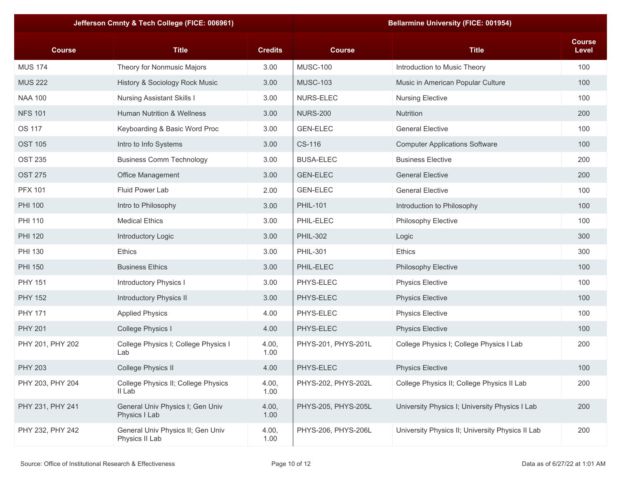|                  | Jefferson Cmnty & Tech College (FICE: 006961)       |                |                     | <b>Bellarmine University (FICE: 001954)</b>      |                        |
|------------------|-----------------------------------------------------|----------------|---------------------|--------------------------------------------------|------------------------|
| <b>Course</b>    | <b>Title</b>                                        | <b>Credits</b> | <b>Course</b>       | <b>Title</b>                                     | <b>Course</b><br>Level |
| <b>MUS 174</b>   | Theory for Nonmusic Majors                          | 3.00           | <b>MUSC-100</b>     | Introduction to Music Theory                     | 100                    |
| <b>MUS 222</b>   | History & Sociology Rock Music                      | 3.00           | <b>MUSC-103</b>     | Music in American Popular Culture                | 100                    |
| <b>NAA 100</b>   | <b>Nursing Assistant Skills I</b>                   | 3.00           | NURS-ELEC           | <b>Nursing Elective</b>                          | 100                    |
| <b>NFS 101</b>   | <b>Human Nutrition &amp; Wellness</b>               | 3.00           | <b>NURS-200</b>     | Nutrition                                        | 200                    |
| <b>OS 117</b>    | Keyboarding & Basic Word Proc                       | 3.00           | <b>GEN-ELEC</b>     | <b>General Elective</b>                          | 100                    |
| <b>OST 105</b>   | Intro to Info Systems                               | 3.00           | CS-116              | <b>Computer Applications Software</b>            | 100                    |
| <b>OST 235</b>   | <b>Business Comm Technology</b>                     | 3.00           | <b>BUSA-ELEC</b>    | <b>Business Elective</b>                         | 200                    |
| <b>OST 275</b>   | Office Management                                   | 3.00           | <b>GEN-ELEC</b>     | <b>General Elective</b>                          | 200                    |
| <b>PFX 101</b>   | Fluid Power Lab                                     | 2.00           | <b>GEN-ELEC</b>     | <b>General Elective</b>                          | 100                    |
| <b>PHI 100</b>   | Intro to Philosophy                                 | 3.00           | <b>PHIL-101</b>     | Introduction to Philosophy                       | 100                    |
| <b>PHI 110</b>   | <b>Medical Ethics</b>                               | 3.00           | PHIL-ELEC           | Philosophy Elective                              | 100                    |
| <b>PHI 120</b>   | Introductory Logic                                  | 3.00           | <b>PHIL-302</b>     | Logic                                            | 300                    |
| <b>PHI 130</b>   | <b>Ethics</b>                                       | 3.00           | <b>PHIL-301</b>     | <b>Ethics</b>                                    | 300                    |
| <b>PHI 150</b>   | <b>Business Ethics</b>                              | 3.00           | PHIL-ELEC           | Philosophy Elective                              | 100                    |
| <b>PHY 151</b>   | Introductory Physics I                              | 3.00           | PHYS-ELEC           | <b>Physics Elective</b>                          | 100                    |
| <b>PHY 152</b>   | Introductory Physics II                             | 3.00           | PHYS-ELEC           | <b>Physics Elective</b>                          | 100                    |
| <b>PHY 171</b>   | <b>Applied Physics</b>                              | 4.00           | PHYS-ELEC           | <b>Physics Elective</b>                          | 100                    |
| <b>PHY 201</b>   | College Physics I                                   | 4.00           | PHYS-ELEC           | <b>Physics Elective</b>                          | 100                    |
| PHY 201, PHY 202 | College Physics I; College Physics I<br>Lab         | 4.00,<br>1.00  | PHYS-201, PHYS-201L | College Physics I; College Physics I Lab         | 200                    |
| <b>PHY 203</b>   | College Physics II                                  | 4.00           | PHYS-ELEC           | <b>Physics Elective</b>                          | 100                    |
| PHY 203, PHY 204 | College Physics II; College Physics<br>II Lab       | 4.00,<br>1.00  | PHYS-202, PHYS-202L | College Physics II; College Physics II Lab       | 200                    |
| PHY 231, PHY 241 | General Univ Physics I; Gen Univ<br>Physics I Lab   | 4.00,<br>1.00  | PHYS-205, PHYS-205L | University Physics I; University Physics I Lab   | 200                    |
| PHY 232, PHY 242 | General Univ Physics II; Gen Univ<br>Physics II Lab | 4.00,<br>1.00  | PHYS-206, PHYS-206L | University Physics II; University Physics II Lab | 200                    |
|                  |                                                     |                |                     |                                                  |                        |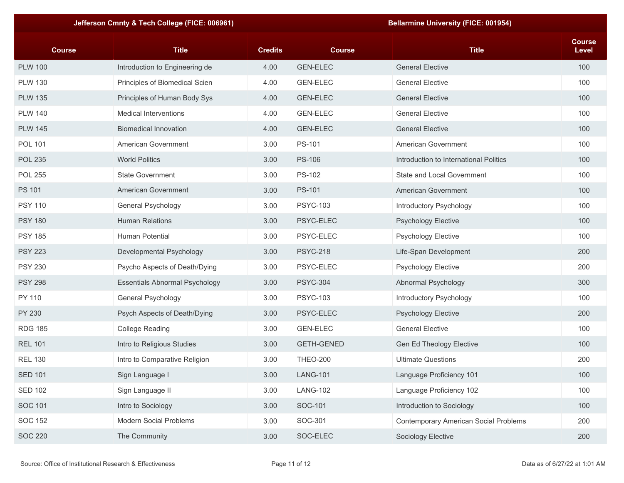| Jefferson Cmnty & Tech College (FICE: 006961) |                                       | <b>Bellarmine University (FICE: 001954)</b> |                   |                                        |                        |
|-----------------------------------------------|---------------------------------------|---------------------------------------------|-------------------|----------------------------------------|------------------------|
| <b>Course</b>                                 | <b>Title</b>                          | <b>Credits</b>                              | <b>Course</b>     | <b>Title</b>                           | <b>Course</b><br>Level |
| <b>PLW 100</b>                                | Introduction to Engineering de        | 4.00                                        | <b>GEN-ELEC</b>   | <b>General Elective</b>                | 100                    |
| <b>PLW 130</b>                                | Principles of Biomedical Scien        | 4.00                                        | <b>GEN-ELEC</b>   | <b>General Elective</b>                | 100                    |
| <b>PLW 135</b>                                | Principles of Human Body Sys          | 4.00                                        | <b>GEN-ELEC</b>   | <b>General Elective</b>                | 100                    |
| <b>PLW 140</b>                                | <b>Medical Interventions</b>          | 4.00                                        | <b>GEN-ELEC</b>   | <b>General Elective</b>                | 100                    |
| <b>PLW 145</b>                                | <b>Biomedical Innovation</b>          | 4.00                                        | <b>GEN-ELEC</b>   | <b>General Elective</b>                | 100                    |
| <b>POL 101</b>                                | American Government                   | 3.00                                        | PS-101            | American Government                    | 100                    |
| <b>POL 235</b>                                | <b>World Politics</b>                 | 3.00                                        | <b>PS-106</b>     | Introduction to International Politics | 100                    |
| <b>POL 255</b>                                | <b>State Government</b>               | 3.00                                        | <b>PS-102</b>     | State and Local Government             | 100                    |
| <b>PS 101</b>                                 | American Government                   | 3.00                                        | <b>PS-101</b>     | <b>American Government</b>             | 100                    |
| <b>PSY 110</b>                                | General Psychology                    | 3.00                                        | <b>PSYC-103</b>   | Introductory Psychology                | 100                    |
| <b>PSY 180</b>                                | <b>Human Relations</b>                | 3.00                                        | PSYC-ELEC         | <b>Psychology Elective</b>             | 100                    |
| <b>PSY 185</b>                                | Human Potential                       | 3.00                                        | PSYC-ELEC         | Psychology Elective                    | 100                    |
| <b>PSY 223</b>                                | Developmental Psychology              | 3.00                                        | <b>PSYC-218</b>   | Life-Span Development                  | 200                    |
| <b>PSY 230</b>                                | Psycho Aspects of Death/Dying         | 3.00                                        | PSYC-ELEC         | Psychology Elective                    | 200                    |
| <b>PSY 298</b>                                | <b>Essentials Abnormal Psychology</b> | 3.00                                        | <b>PSYC-304</b>   | Abnormal Psychology                    | 300                    |
| PY 110                                        | General Psychology                    | 3.00                                        | <b>PSYC-103</b>   | Introductory Psychology                | 100                    |
| <b>PY 230</b>                                 | Psych Aspects of Death/Dying          | 3.00                                        | PSYC-ELEC         | <b>Psychology Elective</b>             | 200                    |
| <b>RDG 185</b>                                | <b>College Reading</b>                | 3.00                                        | <b>GEN-ELEC</b>   | <b>General Elective</b>                | 100                    |
| <b>REL 101</b>                                | Intro to Religious Studies            | 3.00                                        | <b>GETH-GENED</b> | <b>Gen Ed Theology Elective</b>        | 100                    |
| <b>REL 130</b>                                | Intro to Comparative Religion         | 3.00                                        | <b>THEO-200</b>   | <b>Ultimate Questions</b>              | 200                    |
| <b>SED 101</b>                                | Sign Language I                       | 3.00                                        | <b>LANG-101</b>   | Language Proficiency 101               | 100                    |
| <b>SED 102</b>                                | Sign Language II                      | 3.00                                        | <b>LANG-102</b>   | Language Proficiency 102               | 100                    |
| <b>SOC 101</b>                                | Intro to Sociology                    | 3.00                                        | SOC-101           | Introduction to Sociology              | 100                    |
| <b>SOC 152</b>                                | Modern Social Problems                | 3.00                                        | SOC-301           | Contemporary American Social Problems  | 200                    |
| <b>SOC 220</b>                                | The Community                         | 3.00                                        | SOC-ELEC          | Sociology Elective                     | 200                    |